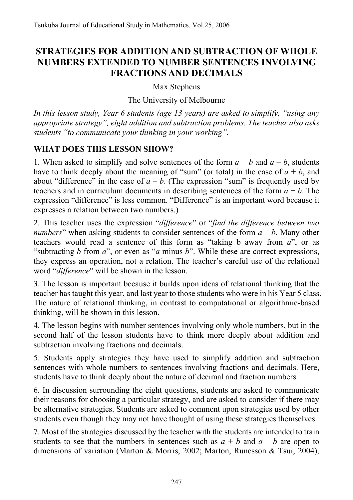# **STRATEGIES FOR ADDITION AND SUBTRACTION OF WHOLE NUMBERS EXTENDED TO NUMBER SENTENCES INVOLVING FRACTIONS AND DECIMALS**

### Max Stephens

The University of Melbourne

*In this lesson study, Year 6 students (age 13 years) are asked to simplify, "using any appropriate strategy", eight addition and subtraction problems. The teacher also asks students "to communicate your thinking in your working".* 

## **WHAT DOES THIS LESSON SHOW?**

1. When asked to simplify and solve sentences of the form  $a + b$  and  $a - b$ , students have to think deeply about the meaning of "sum" (or total) in the case of  $a + b$ , and about "difference" in the case of  $a - b$ . (The expression "sum" is frequently used by teachers and in curriculum documents in describing sentences of the form  $a + b$ . The expression "difference" is less common. "Difference" is an important word because it expresses a relation between two numbers.)

2. This teacher uses the expression "*difference*" or "*find the difference between two numbers*" when asking students to consider sentences of the form  $a - b$ . Many other teachers would read a sentence of this form as "taking b away from *a*", or as "subtracting *b* from *a*", or even as "*a* minus *b*". While these are correct expressions, they express an operation, not a relation. The teacher's careful use of the relational word "*difference*" will be shown in the lesson.

3. The lesson is important because it builds upon ideas of relational thinking that the teacher has taught this year, and last year to those students who were in his Year 5 class. The nature of relational thinking, in contrast to computational or algorithmic-based thinking, will be shown in this lesson.

4. The lesson begins with number sentences involving only whole numbers, but in the second half of the lesson students have to think more deeply about addition and subtraction involving fractions and decimals.

5. Students apply strategies they have used to simplify addition and subtraction sentences with whole numbers to sentences involving fractions and decimals. Here, students have to think deeply about the nature of decimal and fraction numbers.

6. In discussion surrounding the eight questions, students are asked to communicate their reasons for choosing a particular strategy, and are asked to consider if there may be alternative strategies. Students are asked to comment upon strategies used by other students even though they may not have thought of using these strategies themselves.

7. Most of the strategies discussed by the teacher with the students are intended to train students to see that the numbers in sentences such as  $a + b$  and  $a - b$  are open to dimensions of variation (Marton & Morris, 2002; Marton, Runesson & Tsui, 2004),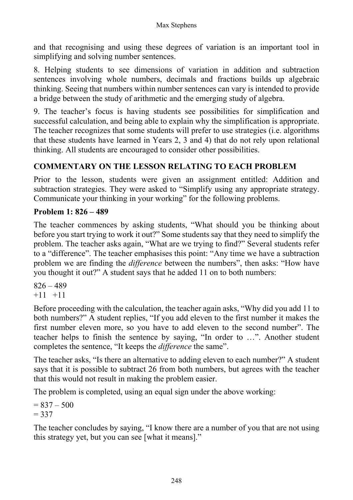and that recognising and using these degrees of variation is an important tool in simplifying and solving number sentences.

8. Helping students to see dimensions of variation in addition and subtraction sentences involving whole numbers, decimals and fractions builds up algebraic thinking. Seeing that numbers within number sentences can vary is intended to provide a bridge between the study of arithmetic and the emerging study of algebra.

9. The teacher's focus is having students see possibilities for simplification and successful calculation, and being able to explain why the simplification is appropriate. The teacher recognizes that some students will prefer to use strategies (i.e. algorithms that these students have learned in Years 2, 3 and 4) that do not rely upon relational thinking. All students are encouraged to consider other possibilities.

# **COMMENTARY ON THE LESSON RELATING TO EACH PROBLEM**

Prior to the lesson, students were given an assignment entitled: Addition and subtraction strategies. They were asked to "Simplify using any appropriate strategy. Communicate your thinking in your working" for the following problems.

### **Problem 1: 826 – 489**

The teacher commences by asking students, "What should you be thinking about before you start trying to work it out?" Some students say that they need to simplify the problem. The teacher asks again, "What are we trying to find?" Several students refer to a "difference". The teacher emphasises this point: "Any time we have a subtraction problem we are finding the *difference* between the numbers", then asks: "How have you thought it out?" A student says that he added 11 on to both numbers:

 $826 - 489$  $+11$   $+11$ 

Before proceeding with the calculation, the teacher again asks, "Why did you add 11 to both numbers?" A student replies, "If you add eleven to the first number it makes the first number eleven more, so you have to add eleven to the second number". The teacher helps to finish the sentence by saying, "In order to …". Another student completes the sentence, "It keeps the *difference* the same".

The teacher asks, "Is there an alternative to adding eleven to each number?" A student says that it is possible to subtract 26 from both numbers, but agrees with the teacher that this would not result in making the problem easier.

The problem is completed, using an equal sign under the above working:

 $= 837 - 500$  $= 337$ 

The teacher concludes by saying, "I know there are a number of you that are not using this strategy yet, but you can see [what it means]."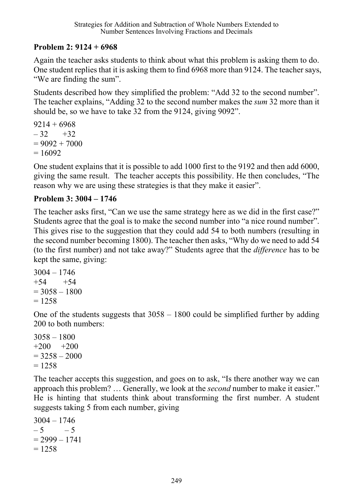## **Problem 2: 9124 + 6968**

Again the teacher asks students to think about what this problem is asking them to do. One student replies that it is asking them to find 6968 more than 9124. The teacher says, "We are finding the sum".

Students described how they simplified the problem: "Add 32 to the second number". The teacher explains, "Adding 32 to the second number makes the *sum* 32 more than it should be, so we have to take 32 from the 9124, giving 9092".

```
9214 + 6968-32 +32= 9092 + 7000= 16092
```
One student explains that it is possible to add 1000 first to the 9192 and then add 6000, giving the same result. The teacher accepts this possibility. He then concludes, "The reason why we are using these strategies is that they make it easier".

### **Problem 3: 3004 – 1746**

The teacher asks first, "Can we use the same strategy here as we did in the first case?" Students agree that the goal is to make the second number into "a nice round number". This gives rise to the suggestion that they could add 54 to both numbers (resulting in the second number becoming 1800). The teacher then asks, "Why do we need to add 54 (to the first number) and not take away?" Students agree that the *difference* has to be kept the same, giving:

```
3004 - 1746+54 +54= 3058 - 1800= 1258
```
One of the students suggests that 3058 – 1800 could be simplified further by adding 200 to both numbers:

3058 – 1800  $+200 +200$  $= 3258 - 2000$  $= 1258$ 

The teacher accepts this suggestion, and goes on to ask, "Is there another way we can approach this problem? … Generally, we look at the *second* number to make it easier." He is hinting that students think about transforming the first number. A student suggests taking 5 from each number, giving

3004 – 1746  $-5$   $-5$  $= 2999 - 1741$  $= 1258$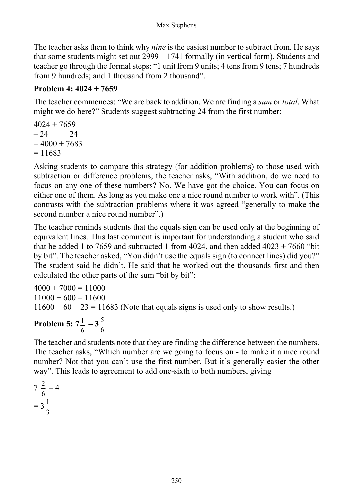The teacher asks them to think why *nine* is the easiest number to subtract from. He says that some students might set out 2999 – 1741 formally (in vertical form). Students and teacher go through the formal steps: "1 unit from 9 units; 4 tens from 9 tens; 7 hundreds from 9 hundreds; and 1 thousand from 2 thousand".

### **Problem 4: 4024 + 7659**

The teacher commences: "We are back to addition. We are finding a *sum* or *total*. What might we do here?" Students suggest subtracting 24 from the first number:

$$
4024 + 7659\n- 24 +24\n= 4000 + 7683\n= 11683
$$

Asking students to compare this strategy (for addition problems) to those used with subtraction or difference problems, the teacher asks, "With addition, do we need to focus on any one of these numbers? No. We have got the choice. You can focus on either one of them. As long as you make one a nice round number to work with". (This contrasts with the subtraction problems where it was agreed "generally to make the second number a nice round number".)

The teacher reminds students that the equals sign can be used only at the beginning of equivalent lines. This last comment is important for understanding a student who said that he added 1 to 7659 and subtracted 1 from 4024, and then added  $4023 + 7660$  "bit by bit". The teacher asked, "You didn't use the equals sign (to connect lines) did you?" The student said he didn't. He said that he worked out the thousands first and then calculated the other parts of the sum "bit by bit":

 $4000 + 7000 = 11000$  $11000 + 600 = 11600$  $11600 + 60 + 23 = 11683$  (Note that equals signs is used only to show results.)

#### **Problem 5: 7** 6  $\frac{1}{7}$  – 3 6 5

The teacher and students note that they are finding the difference between the numbers. The teacher asks, "Which number are we going to focus on - to make it a nice round number? Not that you can't use the first number. But it's generally easier the other way". This leads to agreement to add one-sixth to both numbers, giving

$$
7\frac{2}{6} - 4
$$

$$
= 3\frac{1}{3}
$$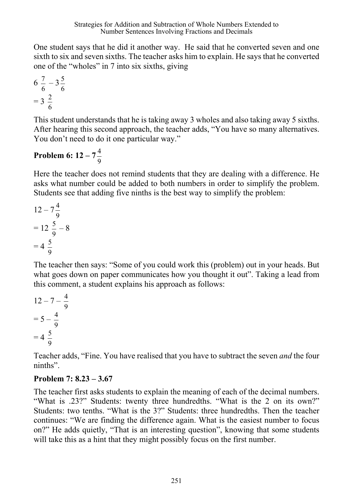One student says that he did it another way. He said that he converted seven and one sixth to six and seven sixths. The teacher asks him to explain. He says that he converted one of the "wholes" in 7 into six sixths, giving

$$
6\frac{7}{6} - 3\frac{5}{6} = 3\frac{2}{6}
$$

This student understands that he is taking away 3 wholes and also taking away 5 sixths. After hearing this second approach, the teacher adds, "You have so many alternatives. You don't need to do it one particular way."

### **Problem 6: 12 – 7** 9 4

Here the teacher does not remind students that they are dealing with a difference. He asks what number could be added to both numbers in order to simplify the problem. Students see that adding five ninths is the best way to simplify the problem:

$$
12 - 7\frac{4}{9} \n= 12 \frac{5}{9} - 8 \n= 4 \frac{5}{9}
$$

The teacher then says: "Some of you could work this (problem) out in your heads. But what goes down on paper communicates how you thought it out". Taking a lead from this comment, a student explains his approach as follows:

$$
12 - 7 - \frac{4}{9} \n= 5 - \frac{4}{9} \n= 4 \frac{5}{9}
$$

Teacher adds, "Fine. You have realised that you have to subtract the seven *and* the four ninths".

# **Problem 7: 8.23 – 3.67**

The teacher first asks students to explain the meaning of each of the decimal numbers. "What is .23?" Students: twenty three hundredths. "What is the 2 on its own?" Students: two tenths. "What is the 3?" Students: three hundredths. Then the teacher continues: "We are finding the difference again. What is the easiest number to focus on?" He adds quietly, "That is an interesting question", knowing that some students will take this as a hint that they might possibly focus on the first number.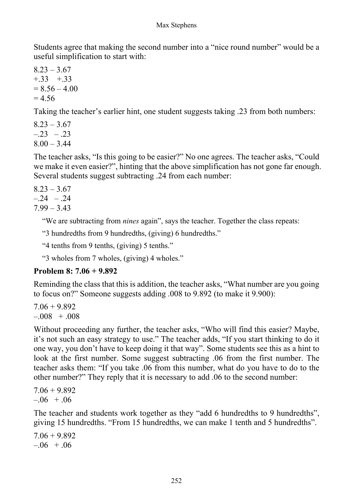Students agree that making the second number into a "nice round number" would be a useful simplification to start with:

 $8.23 - 3.67$  $+0.33 +0.33$  $= 8.56 - 4.00$  $= 4.56$ 

Taking the teacher's earlier hint, one student suggests taking .23 from both numbers:

 $8.23 - 3.67$  $-23 - 23$  $8.00 - 3.44$ 

The teacher asks, "Is this going to be easier?" No one agrees. The teacher asks, "Could we make it even easier?", hinting that the above simplification has not gone far enough. Several students suggest subtracting .24 from each number:

 $8.23 - 3.67$  $-.24 - .24$ 

 $7.99 - 3.43$ 

"We are subtracting from *nines* again", says the teacher. Together the class repeats:

"3 hundredths from 9 hundredths, (giving) 6 hundredths."

"4 tenths from 9 tenths, (giving) 5 tenths."

"3 wholes from 7 wholes, (giving) 4 wholes."

### **Problem 8: 7.06 + 9.892**

Reminding the class that this is addition, the teacher asks, "What number are you going to focus on?" Someone suggests adding .008 to 9.892 (to make it 9.900):

 $7.06 + 9.892$  $-.008 + .008$ 

Without proceeding any further, the teacher asks, "Who will find this easier? Maybe, it's not such an easy strategy to use." The teacher adds, "If you start thinking to do it one way, you don't have to keep doing it that way". Some students see this as a hint to look at the first number. Some suggest subtracting .06 from the first number. The teacher asks them: "If you take .06 from this number, what do you have to do to the other number?" They reply that it is necessary to add .06 to the second number:

 $7.06 + 9.892$  $-0.06 + 0.06$ 

The teacher and students work together as they "add 6 hundredths to 9 hundredths", giving 15 hundredths. "From 15 hundredths, we can make 1 tenth and 5 hundredths".

7.06 + 9.892  $-.06 + .06$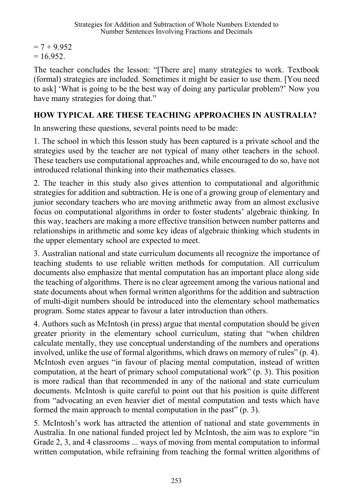$= 7 + 9.952$  $= 16.952$ .

The teacher concludes the lesson: "[There are] many strategies to work. Textbook (formal) strategies are included. Sometimes it might be easier to use them. [You need to ask] 'What is going to be the best way of doing any particular problem?' Now you have many strategies for doing that."

# **HOW TYPICAL ARE THESE TEACHING APPROACHES IN AUSTRALIA?**

In answering these questions, several points need to be made:

1. The school in which this lesson study has been captured is a private school and the strategies used by the teacher are not typical of many other teachers in the school. These teachers use computational approaches and, while encouraged to do so, have not introduced relational thinking into their mathematics classes.

2. The teacher in this study also gives attention to computational and algorithmic strategies for addition and subtraction. He is one of a growing group of elementary and junior secondary teachers who are moving arithmetic away from an almost exclusive focus on computational algorithms in order to foster students' algebraic thinking. In this way, teachers are making a more effective transition between number patterns and relationships in arithmetic and some key ideas of algebraic thinking which students in the upper elementary school are expected to meet.

3. Australian national and state curriculum documents all recognize the importance of teaching students to use reliable written methods for computation. All curriculum documents also emphasize that mental computation has an important place along side the teaching of algorithms. There is no clear agreement among the various national and state documents about when formal written algorithms for the addition and subtraction of multi-digit numbers should be introduced into the elementary school mathematics program. Some states appear to favour a later introduction than others.

4. Authors such as McIntosh (in press) argue that mental computation should be given greater priority in the elementary school curriculum, stating that "when children calculate mentally, they use conceptual understanding of the numbers and operations involved, unlike the use of formal algorithms, which draws on memory of rules" (p. 4). McIntosh even argues "in favour of placing mental computation, instead of written computation, at the heart of primary school computational work" (p. 3). This position is more radical than that recommended in any of the national and state curriculum documents. McIntosh is quite careful to point out that his position is quite different from "advocating an even heavier diet of mental computation and tests which have formed the main approach to mental computation in the past" (p. 3).

5. McIntosh's work has attracted the attention of national and state governments in Australia. In one national funded project led by McIntosh, the aim was to explore "in Grade 2, 3, and 4 classrooms ... ways of moving from mental computation to informal written computation, while refraining from teaching the formal written algorithms of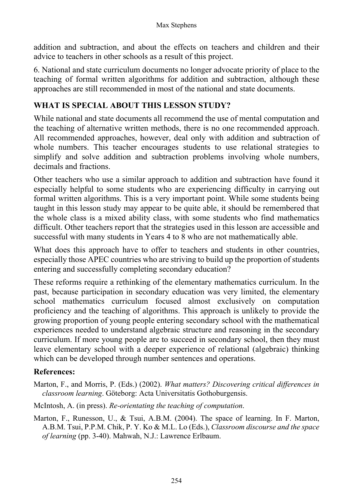addition and subtraction, and about the effects on teachers and children and their advice to teachers in other schools as a result of this project.

6. National and state curriculum documents no longer advocate priority of place to the teaching of formal written algorithms for addition and subtraction, although these approaches are still recommended in most of the national and state documents.

# **WHAT IS SPECIAL ABOUT THIS LESSON STUDY?**

While national and state documents all recommend the use of mental computation and the teaching of alternative written methods, there is no one recommended approach. All recommended approaches, however, deal only with addition and subtraction of whole numbers. This teacher encourages students to use relational strategies to simplify and solve addition and subtraction problems involving whole numbers, decimals and fractions.

Other teachers who use a similar approach to addition and subtraction have found it especially helpful to some students who are experiencing difficulty in carrying out formal written algorithms. This is a very important point. While some students being taught in this lesson study may appear to be quite able, it should be remembered that the whole class is a mixed ability class, with some students who find mathematics difficult. Other teachers report that the strategies used in this lesson are accessible and successful with many students in Years 4 to 8 who are not mathematically able.

What does this approach have to offer to teachers and students in other countries, especially those APEC countries who are striving to build up the proportion of students entering and successfully completing secondary education?

These reforms require a rethinking of the elementary mathematics curriculum. In the past, because participation in secondary education was very limited, the elementary school mathematics curriculum focused almost exclusively on computation proficiency and the teaching of algorithms. This approach is unlikely to provide the growing proportion of young people entering secondary school with the mathematical experiences needed to understand algebraic structure and reasoning in the secondary curriculum. If more young people are to succeed in secondary school, then they must leave elementary school with a deeper experience of relational (algebraic) thinking which can be developed through number sentences and operations.

# **References:**

- Marton, F., and Morris, P. (Eds.) (2002). *What matters? Discovering critical differences in classroom learning*. Göteborg: Acta Universitatis Gothoburgensis.
- McIntosh, A. (in press). *Re-orientating the teaching of computation*.
- Marton, F., Runesson, U., & Tsui, A.B.M. (2004). The space of learning. In F. Marton, A.B.M. Tsui, P.P.M. Chik, P. Y. Ko & M.L. Lo (Eds.), *Classroom discourse and the space of learning* (pp. 3-40). Mahwah, N.J.: Lawrence Erlbaum.